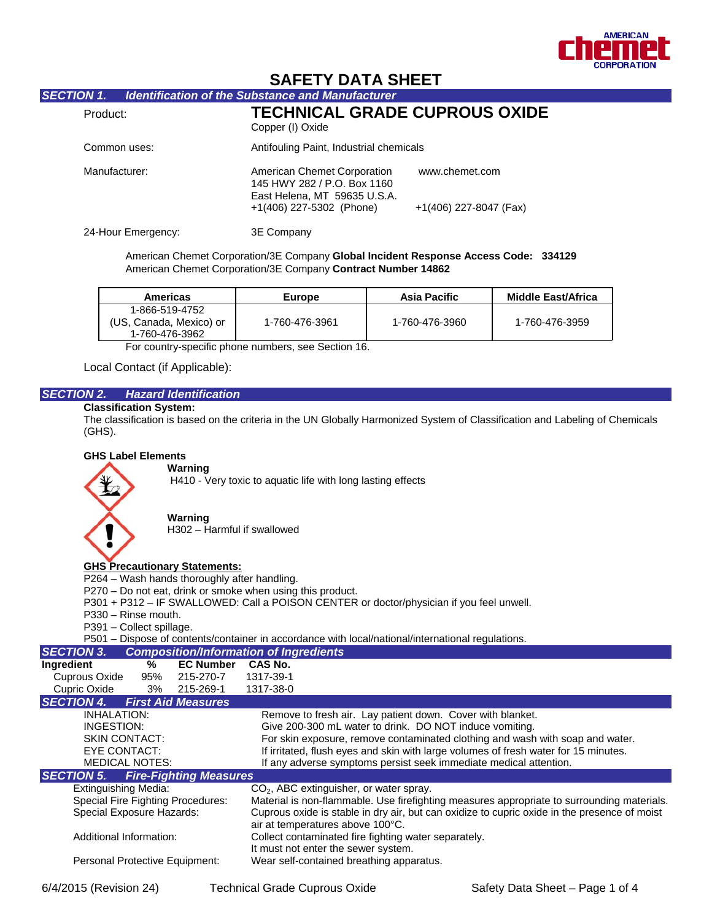

# **SAFETY DATA SHEET**

# *SECTION 1. Identification of the Substance and Manufacturer*

| Product:           | <b>TECHNICAL GRADE CUPROUS OXIDE</b><br>Copper (I) Oxide                                                               |                                          |
|--------------------|------------------------------------------------------------------------------------------------------------------------|------------------------------------------|
| Common uses:       | Antifouling Paint, Industrial chemicals                                                                                |                                          |
| Manufacturer:      | American Chemet Corporation<br>145 HWY 282 / P.O. Box 1160<br>East Helena, MT 59635 U.S.A.<br>+1(406) 227-5302 (Phone) | www.chemet.com<br>+1(406) 227-8047 (Fax) |
| 24-Hour Emergency: | 3E Company                                                                                                             |                                          |

 American Chemet Corporation/3E Company **Global Incident Response Access Code: 334129** American Chemet Corporation/3E Company **Contract Number 14862**

| Americas                                                    | Europe         | Asia Pacific   | Middle East/Africa |
|-------------------------------------------------------------|----------------|----------------|--------------------|
| 1-866-519-4752<br>(US, Canada, Mexico) or<br>1-760-476-3962 | 1-760-476-3961 | 1-760-476-3960 | 1-760-476-3959     |

For country-specific phone numbers, see Section 16.

Local Contact (if Applicable):

## *SECTION 2. Hazard Identification*

## **Classification System:**

The classification is based on the criteria in the UN Globally Harmonized System of Classification and Labeling of Chemicals (GHS).

#### **GHS Label Elements**

#### **Warning**



## **Warning**

H302 – Harmful if swallowed

#### **GHS Precautionary Statements:**

P264 – Wash hands thoroughly after handling.

- P270 Do not eat, drink or smoke when using this product.
- P301 + P312 IF SWALLOWED: Call a POISON CENTER or doctor/physician if you feel unwell.
- P330 Rinse mouth.
- P391 Collect spillage.
- P501 Dispose of contents/container in accordance with local/national/international regulations.

| <b>SECTION 3.</b>              |                       |                                          | <b>Composition/Information of Ingredients</b>                                                |
|--------------------------------|-----------------------|------------------------------------------|----------------------------------------------------------------------------------------------|
| Ingredient                     | ℅                     | <b>EC Number</b>                         | CAS No.                                                                                      |
| Cuprous Oxide                  | 95%                   | 215-270-7                                | 1317-39-1                                                                                    |
| Cupric Oxide                   | 3%                    | 215-269-1                                | 1317-38-0                                                                                    |
| <b>SECTION 4.</b>              |                       | <b>First Aid Measures</b>                |                                                                                              |
| INHALATION:                    |                       |                                          | Remove to fresh air. Lay patient down. Cover with blanket.                                   |
| INGESTION:                     |                       |                                          | Give 200-300 mL water to drink. DO NOT induce vomiting.                                      |
|                                | <b>SKIN CONTACT:</b>  |                                          | For skin exposure, remove contaminated clothing and wash with soap and water.                |
| EYE CONTACT:                   |                       |                                          | If irritated, flush eyes and skin with large volumes of fresh water for 15 minutes.          |
|                                | <b>MEDICAL NOTES:</b> |                                          | If any adverse symptoms persist seek immediate medical attention.                            |
| <b>SECTION 5.</b>              |                       | <b>Fire-Fighting Measures</b>            |                                                                                              |
| <b>Extinguishing Media:</b>    |                       |                                          | $CO2$ , ABC extinguisher, or water spray.                                                    |
|                                |                       | <b>Special Fire Fighting Procedures:</b> | Material is non-flammable. Use firefighting measures appropriate to surrounding materials.   |
| Special Exposure Hazards:      |                       |                                          | Cuprous oxide is stable in dry air, but can oxidize to cupric oxide in the presence of moist |
|                                |                       |                                          | air at temperatures above 100°C.                                                             |
| Additional Information:        |                       |                                          | Collect contaminated fire fighting water separately.                                         |
|                                |                       |                                          | It must not enter the sewer system.                                                          |
| Personal Protective Equipment: |                       |                                          | Wear self-contained breathing apparatus.                                                     |
|                                |                       |                                          |                                                                                              |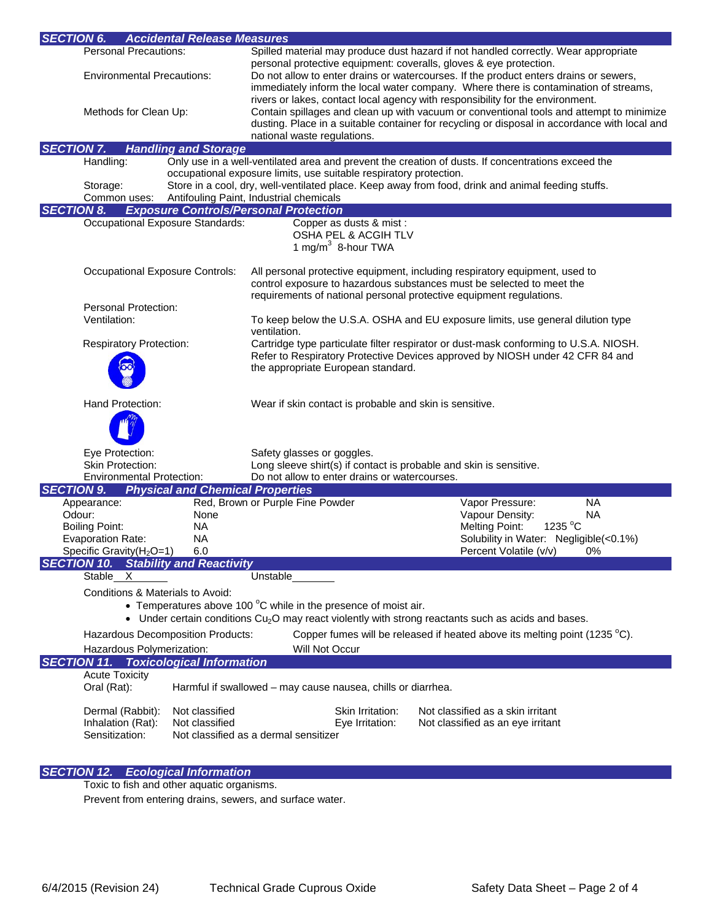| <b>SECTION 6.</b><br><b>Accidental Release Measures</b>               |                                         |                                                                                                                     |                                                                                                                                                                                                                                                                             |
|-----------------------------------------------------------------------|-----------------------------------------|---------------------------------------------------------------------------------------------------------------------|-----------------------------------------------------------------------------------------------------------------------------------------------------------------------------------------------------------------------------------------------------------------------------|
| <b>Personal Precautions:</b>                                          |                                         |                                                                                                                     | Spilled material may produce dust hazard if not handled correctly. Wear appropriate                                                                                                                                                                                         |
| <b>Environmental Precautions:</b>                                     |                                         | personal protective equipment: coveralls, gloves & eye protection.                                                  | Do not allow to enter drains or watercourses. If the product enters drains or sewers,<br>immediately inform the local water company. Where there is contamination of streams,                                                                                               |
| Methods for Clean Up:                                                 |                                         | national waste regulations.                                                                                         | rivers or lakes, contact local agency with responsibility for the environment.<br>Contain spillages and clean up with vacuum or conventional tools and attempt to minimize<br>dusting. Place in a suitable container for recycling or disposal in accordance with local and |
| <b>SECTION 7.</b>                                                     | <b>Handling and Storage</b>             |                                                                                                                     |                                                                                                                                                                                                                                                                             |
| Handling:                                                             |                                         |                                                                                                                     | Only use in a well-ventilated area and prevent the creation of dusts. If concentrations exceed the                                                                                                                                                                          |
|                                                                       |                                         | occupational exposure limits, use suitable respiratory protection.                                                  |                                                                                                                                                                                                                                                                             |
| Storage:                                                              |                                         |                                                                                                                     | Store in a cool, dry, well-ventilated place. Keep away from food, drink and animal feeding stuffs.                                                                                                                                                                          |
| Common uses:                                                          |                                         | Antifouling Paint, Industrial chemicals                                                                             |                                                                                                                                                                                                                                                                             |
| <b>SECTION 8.</b>                                                     |                                         | <b>Exposure Controls/Personal Protection</b>                                                                        |                                                                                                                                                                                                                                                                             |
|                                                                       | Occupational Exposure Standards:        | Copper as dusts & mist :<br>OSHA PEL & ACGIH TLV<br>1 mg/m $3$ 8-hour TWA                                           |                                                                                                                                                                                                                                                                             |
|                                                                       | <b>Occupational Exposure Controls:</b>  | requirements of national personal protective equipment regulations.                                                 | All personal protective equipment, including respiratory equipment, used to<br>control exposure to hazardous substances must be selected to meet the                                                                                                                        |
| Personal Protection:                                                  |                                         |                                                                                                                     |                                                                                                                                                                                                                                                                             |
| Ventilation:                                                          |                                         | ventilation.                                                                                                        | To keep below the U.S.A. OSHA and EU exposure limits, use general dilution type                                                                                                                                                                                             |
| <b>Respiratory Protection:</b>                                        |                                         |                                                                                                                     | Cartridge type particulate filter respirator or dust-mask conforming to U.S.A. NIOSH.                                                                                                                                                                                       |
|                                                                       |                                         | Refer to Respiratory Protective Devices approved by NIOSH under 42 CFR 84 and<br>the appropriate European standard. |                                                                                                                                                                                                                                                                             |
| Hand Protection:                                                      |                                         | Wear if skin contact is probable and skin is sensitive.                                                             |                                                                                                                                                                                                                                                                             |
|                                                                       |                                         |                                                                                                                     |                                                                                                                                                                                                                                                                             |
| Eye Protection:                                                       |                                         | Safety glasses or goggles.                                                                                          |                                                                                                                                                                                                                                                                             |
| <b>Skin Protection:</b>                                               |                                         | Long sleeve shirt(s) if contact is probable and skin is sensitive.                                                  |                                                                                                                                                                                                                                                                             |
| <b>Environmental Protection:</b>                                      |                                         | Do not allow to enter drains or watercourses.                                                                       |                                                                                                                                                                                                                                                                             |
| <b>SECTION 9.</b>                                                     | <b>Physical and Chemical Properties</b> |                                                                                                                     |                                                                                                                                                                                                                                                                             |
| Appearance:                                                           |                                         | Red, Brown or Purple Fine Powder                                                                                    | Vapor Pressure:<br><b>NA</b>                                                                                                                                                                                                                                                |
| Odour:<br><b>Boiling Point:</b>                                       | None<br><b>NA</b>                       |                                                                                                                     | Vapour Density:<br><b>NA</b><br>1235 °C<br><b>Melting Point:</b>                                                                                                                                                                                                            |
| <b>Evaporation Rate:</b>                                              | <b>NA</b>                               |                                                                                                                     | Solubility in Water: Negligible(<0.1%)                                                                                                                                                                                                                                      |
| Specific Gravity(H <sub>2</sub> O=1)                                  | 6.0                                     |                                                                                                                     | Percent Volatile (v/v)<br>0%                                                                                                                                                                                                                                                |
| <b>SECTION 10. Stability and Reactivity</b><br>Stable X               |                                         | Unstable                                                                                                            |                                                                                                                                                                                                                                                                             |
| Conditions & Materials to Avoid:                                      |                                         |                                                                                                                     |                                                                                                                                                                                                                                                                             |
|                                                                       |                                         | • Temperatures above 100 °C while in the presence of moist air.                                                     | Under certain conditions $Cu2O$ may react violently with strong reactants such as acids and bases.                                                                                                                                                                          |
|                                                                       |                                         |                                                                                                                     |                                                                                                                                                                                                                                                                             |
|                                                                       | Hazardous Decomposition Products:       |                                                                                                                     | Copper fumes will be released if heated above its melting point (1235 °C).                                                                                                                                                                                                  |
| Hazardous Polymerization:                                             |                                         | <b>Will Not Occur</b>                                                                                               |                                                                                                                                                                                                                                                                             |
| <b>SECTION 11. Toxicological Information</b><br><b>Acute Toxicity</b> |                                         |                                                                                                                     |                                                                                                                                                                                                                                                                             |
| Oral (Rat):                                                           |                                         | Harmful if swallowed - may cause nausea, chills or diarrhea.                                                        |                                                                                                                                                                                                                                                                             |
| Dermal (Rabbit):<br>Inhalation (Rat):                                 | Not classified<br>Not classified        | Skin Irritation:<br>Eye Irritation:                                                                                 | Not classified as a skin irritant<br>Not classified as an eye irritant                                                                                                                                                                                                      |
| Sensitization:                                                        |                                         | Not classified as a dermal sensitizer                                                                               |                                                                                                                                                                                                                                                                             |

# *SECTION 12. Ecological Information*

Toxic to fish and other aquatic organisms.

Prevent from entering drains, sewers, and surface water.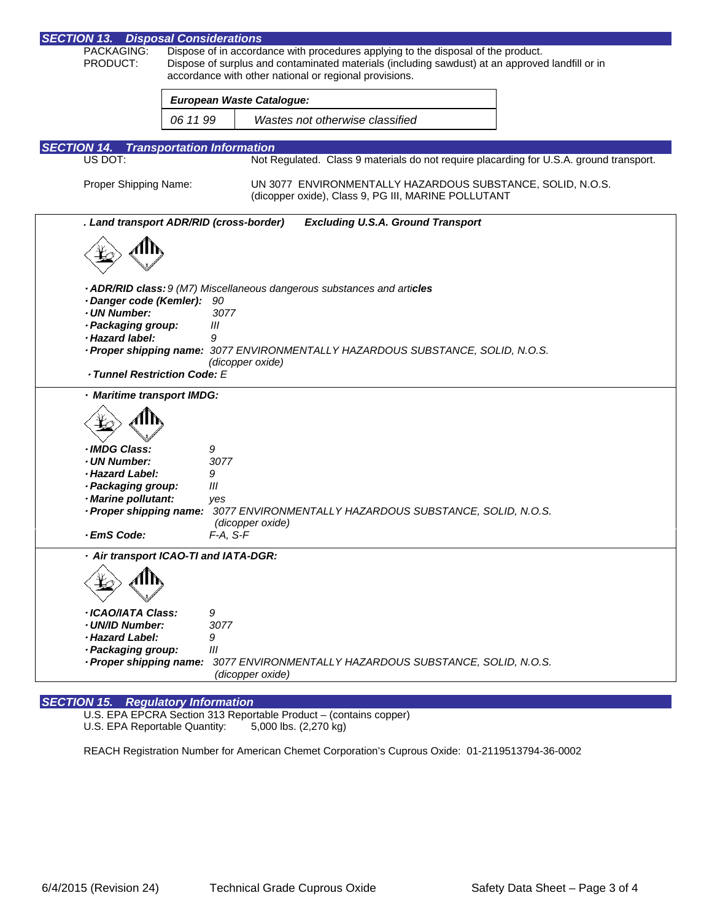| <b>SECTION 13. Disposal Considerations</b>              |                                                                                                                                                           |  |  |
|---------------------------------------------------------|-----------------------------------------------------------------------------------------------------------------------------------------------------------|--|--|
| PACKAGING:<br>PRODUCT:                                  | Dispose of in accordance with procedures applying to the disposal of the product.                                                                         |  |  |
|                                                         | Dispose of surplus and contaminated materials (including sawdust) at an approved landfill or in<br>accordance with other national or regional provisions. |  |  |
|                                                         | <b>European Waste Catalogue:</b>                                                                                                                          |  |  |
| 06 11 99                                                | Wastes not otherwise classified                                                                                                                           |  |  |
|                                                         |                                                                                                                                                           |  |  |
| <b>SECTION 14.</b><br><b>Transportation Information</b> |                                                                                                                                                           |  |  |
| US DOT:                                                 | Not Regulated. Class 9 materials do not require placarding for U.S.A. ground transport.                                                                   |  |  |
| Proper Shipping Name:                                   | UN 3077 ENVIRONMENTALLY HAZARDOUS SUBSTANCE, SOLID, N.O.S.<br>(dicopper oxide), Class 9, PG III, MARINE POLLUTANT                                         |  |  |
| . Land transport ADR/RID (cross-border)                 | <b>Excluding U.S.A. Ground Transport</b>                                                                                                                  |  |  |
|                                                         |                                                                                                                                                           |  |  |
|                                                         |                                                                                                                                                           |  |  |
|                                                         |                                                                                                                                                           |  |  |
|                                                         | · ADR/RID class: 9 (M7) Miscellaneous dangerous substances and articles                                                                                   |  |  |
| · Danger code (Kemler):<br>· UN Number:                 | 90<br>3077                                                                                                                                                |  |  |
| · Packaging group:                                      | Ш                                                                                                                                                         |  |  |
| · Hazard label:                                         | 9                                                                                                                                                         |  |  |
|                                                         | · Proper shipping name: 3077 ENVIRONMENTALLY HAZARDOUS SUBSTANCE, SOLID, N.O.S.                                                                           |  |  |
| · Tunnel Restriction Code: E                            | (dicopper oxide)                                                                                                                                          |  |  |
| · Maritime transport IMDG:                              |                                                                                                                                                           |  |  |
|                                                         |                                                                                                                                                           |  |  |
|                                                         |                                                                                                                                                           |  |  |
| · IMDG Class:                                           | 9                                                                                                                                                         |  |  |
| · UN Number:<br>· Hazard Label:                         | 3077                                                                                                                                                      |  |  |
| · Packaging group:                                      | 9<br>Ш                                                                                                                                                    |  |  |
| · Marine pollutant:                                     | yes                                                                                                                                                       |  |  |
| · Proper shipping name:                                 | 3077 ENVIRONMENTALLY HAZARDOUS SUBSTANCE, SOLID, N.O.S.                                                                                                   |  |  |
| · EmS Code:                                             | (dicopper oxide)<br>$F-A, S-F$                                                                                                                            |  |  |
| · Air transport ICAO-TI and IATA-DGR:                   |                                                                                                                                                           |  |  |
|                                                         |                                                                                                                                                           |  |  |
| · ICAO/IATA Class:                                      | 9                                                                                                                                                         |  |  |
| · UN/ID Number:                                         | 3077                                                                                                                                                      |  |  |
| · Hazard Label:                                         | 9                                                                                                                                                         |  |  |
| · Packaging group:<br>· Proper shipping name:           | III<br>3077 ENVIRONMENTALLY HAZARDOUS SUBSTANCE, SOLID, N.O.S.                                                                                            |  |  |
|                                                         | (dicopper oxide)                                                                                                                                          |  |  |

## *SECTION 15. Regulatory Information*

U.S. EPA EPCRA Section 313 Reportable Product – (contains copper)

U.S. EPA Reportable Quantity: 5,000 lbs. (2,270 kg)

REACH Registration Number for American Chemet Corporation's Cuprous Oxide: 01-2119513794-36-0002